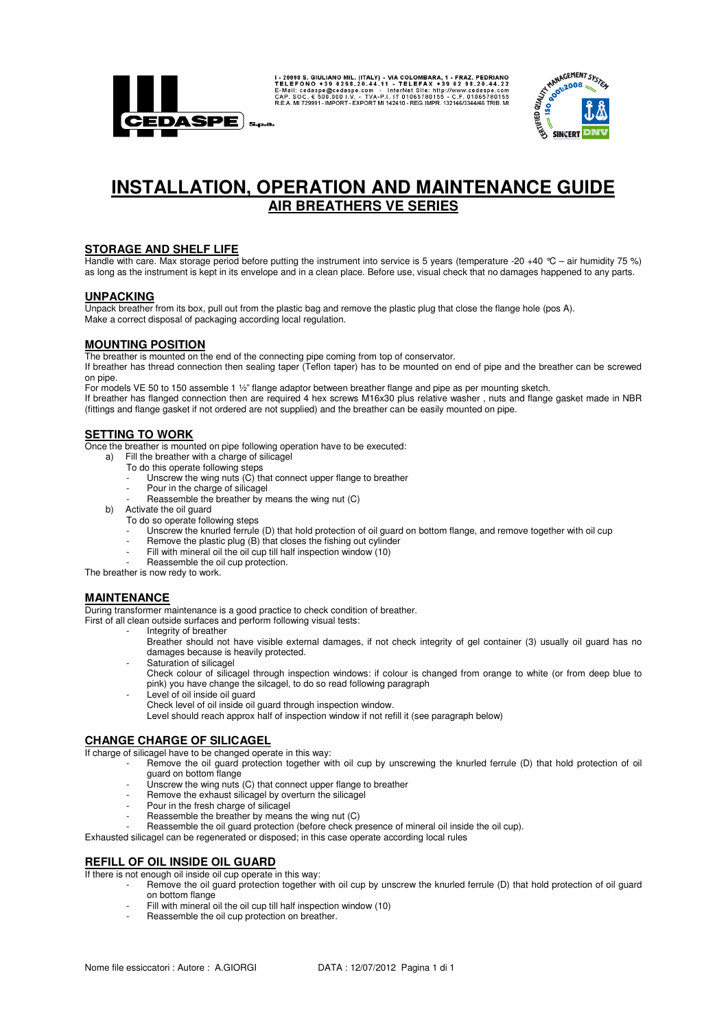

I-20098 S. GIULIANO MIL. (ITALY) - VIA COLOMBARA, 1 - FRAZ. PEDRIANO E-NE I FORDER DE SUBSECTION OF 39 0 29 8.20.44.22<br>E-Mail: cedaspe@cedaspe.com - InterNet Sile: http://www.cedaspe.com<br>CAP. SOC. 6 500.000 I.V. - TVA-PI.



# **INSTALLATION, OPERATION AND MAINTENANCE GUIDE AIR BREATHERS VE SERIES**

## **STORAGE AND SHELF LIFE**

Handle with care. Max storage period before putting the instrument into service is 5 years (temperature -20 +40 °C – air humidity 75 %) as long as the instrument is kept in its envelope and in a clean place. Before use, visual check that no damages happened to any parts.

#### **UNPACKING**

Unpack breather from its box, pull out from the plastic bag and remove the plastic plug that close the flange hole (pos A). Make a correct disposal of packaging according local regulation.

## **MOUNTING POSITION**

The breather is mounted on the end of the connecting pipe coming from top of conservator.

If breather has thread connection then sealing taper (Teflon taper) has to be mounted on end of pipe and the breather can be screwed on pipe.

For models VE 50 to 150 assemble 1 ½" flange adaptor between breather flange and pipe as per mounting sketch. If breather has flanged connection then are required 4 hex screws M16x30 plus relative washer , nuts and flange gasket made in NBR (fittings and flange gasket if not ordered are not supplied) and the breather can be easily mounted on pipe.

## **SETTING TO WORK**

Once the breather is mounted on pipe following operation have to be executed:

- a) Fill the breather with a charge of silicagel
	- To do this operate following steps
		- Unscrew the wing nuts (C) that connect upper flange to breather
		- Pour in the charge of silicagel
		- Reassemble the breather by means the wing nut (C)
- b) Activate the oil guard To do so operate following steps
	- Unscrew the knurled ferrule (D) that hold protection of oil guard on bottom flange, and remove together with oil cup
	- Remove the plastic plug (B) that closes the fishing out cylinder
	- Fill with mineral oil the oil cup till half inspection window (10)
- Reassemble the oil cup protection.

The breather is now redy to work.

#### **MAINTENANCE**

During transformer maintenance is a good practice to check condition of breather.

First of all clean outside surfaces and perform following visual tests:

Integrity of breather

Breather should not have visible external damages, if not check integrity of gel container (3) usually oil guard has no damages because is heavily protected.

- Saturation of silicagel
- Check colour of silicagel through inspection windows: if colour is changed from orange to white (or from deep blue to pink) you have change the silcagel, to do so read following paragraph
- Level of oil inside oil guard
	- Check level of oil inside oil guard through inspection window.

Level should reach approx half of inspection window if not refill it (see paragraph below)

### **CHANGE CHARGE OF SILICAGEL**

If charge of silicagel have to be changed operate in this way:

- Remove the oil guard protection together with oil cup by unscrewing the knurled ferrule (D) that hold protection of oil guard on bottom flange
	- Unscrew the wing nuts (C) that connect upper flange to breather
- Remove the exhaust silicagel by overturn the silicagel
- Pour in the fresh charge of silicagel
- Reassemble the breather by means the wing nut (C)
- Reassemble the oil guard protection (before check presence of mineral oil inside the oil cup).

Exhausted silicagel can be regenerated or disposed; in this case operate according local rules

#### **REFILL OF OIL INSIDE OIL GUARD**

If there is not enough oil inside oil cup operate in this way:

- Remove the oil guard protection together with oil cup by unscrew the knurled ferrule (D) that hold protection of oil guard on bottom flange
	- Fill with mineral oil the oil cup till half inspection window (10)
	- Reassemble the oil cup protection on breather.